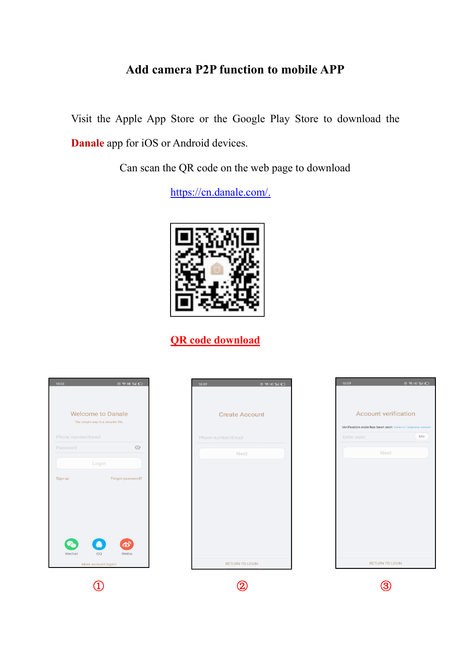## **Add camera P2P function to mobile APP**

Visit the Apple App Store or the Google Play Store to download the **Danale** app for iOS or Android devices.

Can scan the QR code on the web page to download

[https://cn.danale.com/.](https://cn.danale.com/)



**QR code download**

|                                                                                                       | <b>ORHOMIC</b><br>18:59 | 18:59<br><b>ORHOMO</b>                                     |
|-------------------------------------------------------------------------------------------------------|-------------------------|------------------------------------------------------------|
| <b>Welcome to Danale</b><br>The simple way to a smarter life.                                         | <b>Create Account</b>   | <b>Account verification</b>                                |
|                                                                                                       |                         | Verification code has been sent: Email or Cellphone number |
| Phone number/Email                                                                                    | Phone number/Email      | 55s<br>Enter code                                          |
| $\odot$<br>Password                                                                                   | Next                    | Next                                                       |
| Forgot password?<br>Sign up<br>$\bullet$<br><b>Po</b><br>Wechat<br>QQ<br>Weibo<br>More account login> | <b>RETURN TO LOGIN</b>  | RETURN TO LOGIN                                            |
|                                                                                                       |                         |                                                            |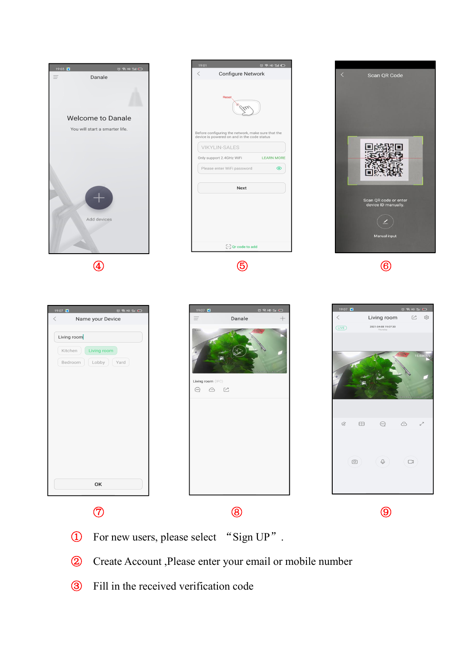

- Create Account ,Please enter your email or mobile number
- Fill in the received verification code